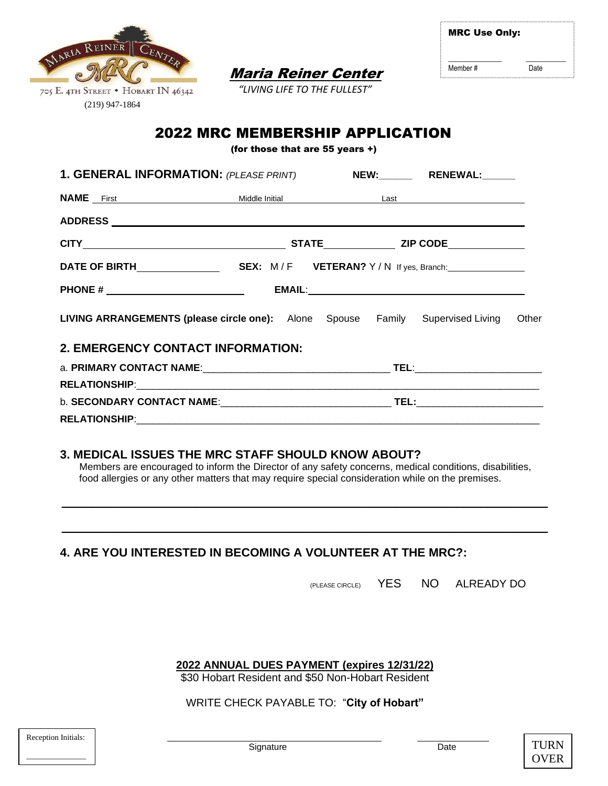

MRC Use Only:  $\_$ Member # Date

 Maria Reiner Center  *"LIVING LIFE TO THE FULLEST"*

# 2022 MRC MEMBERSHIP APPLICATION

(for those that are 55 years +)

| 1. GENERAL INFORMATION: (PLEASE PRINT) NEW: RENEWAL:                                 |  |  |                                            |  |  |
|--------------------------------------------------------------------------------------|--|--|--------------------------------------------|--|--|
|                                                                                      |  |  | <b>NAME</b> First Middle Initial Last Last |  |  |
|                                                                                      |  |  |                                            |  |  |
|                                                                                      |  |  |                                            |  |  |
|                                                                                      |  |  |                                            |  |  |
|                                                                                      |  |  |                                            |  |  |
| LIVING ARRANGEMENTS (please circle one): Alone Spouse Family Supervised Living Other |  |  |                                            |  |  |
| 2. EMERGENCY CONTACT INFORMATION:                                                    |  |  |                                            |  |  |
|                                                                                      |  |  |                                            |  |  |
|                                                                                      |  |  |                                            |  |  |
|                                                                                      |  |  |                                            |  |  |
|                                                                                      |  |  |                                            |  |  |

## **3. MEDICAL ISSUES THE MRC STAFF SHOULD KNOW ABOUT?**

 Members are encouraged to inform the Director of any safety concerns, medical conditions, disabilities, food allergies or any other matters that may require special consideration while on the premises.

\_\_\_\_\_\_\_\_\_\_\_\_\_\_\_\_\_\_\_\_\_\_\_\_\_\_\_\_\_\_\_\_\_\_\_\_\_\_\_\_\_\_\_\_\_\_\_\_\_\_\_\_\_\_\_\_\_\_\_\_\_\_\_\_\_\_\_\_\_\_\_\_\_\_\_\_\_\_\_\_

\_\_\_\_\_\_\_\_\_\_\_\_\_\_\_\_\_\_\_\_\_\_\_\_\_\_\_\_\_\_\_\_\_\_\_\_\_\_\_\_\_\_\_\_\_\_\_\_\_\_\_\_\_\_\_\_\_\_\_\_\_\_\_\_\_\_\_\_\_\_\_\_\_\_\_\_\_\_\_\_

**4. ARE YOU INTERESTED IN BECOMING A VOLUNTEER AT THE MRC?:**

(PLEASE CIRCLE) YES NO ALREADY DO

**2022 ANNUAL DUES PAYMENT (expires 12/31/22)**

\$30 Hobart Resident and \$50 Non-Hobart Resident

#### WRITE CHECK PAYABLE TO: "**City of Hobart"**

| Reception Initials: |  |
|---------------------|--|
|                     |  |
|                     |  |

\_

 $\overline{a}$